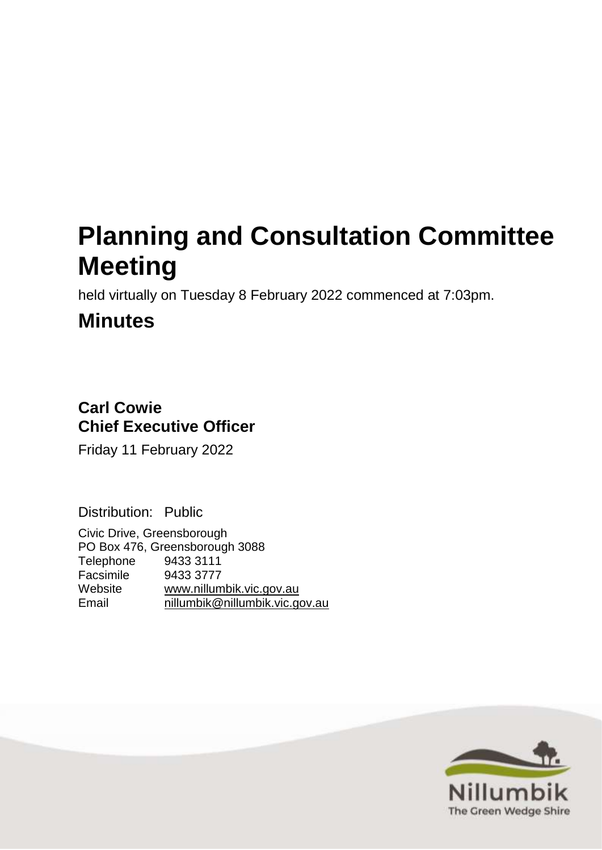# **Planning and Consultation Committee Meeting**

held virtually on Tuesday 8 February 2022 commenced at 7:03pm.

## **Minutes**

### **Carl Cowie Chief Executive Officer**

Friday 11 February 2022

Distribution: Public

Civic Drive, Greensborough PO Box 476, Greensborough 3088 Telephone 9433 3111 Facsimile 9433 3777<br>Website www.nillum [www.nillumbik.vic.gov.au](http://www.nillumbik.vic.gov.au/) Email [nillumbik@nillumbik.vic.gov.au](mailto:nillumbik@nillumbik.vic.gov.au)

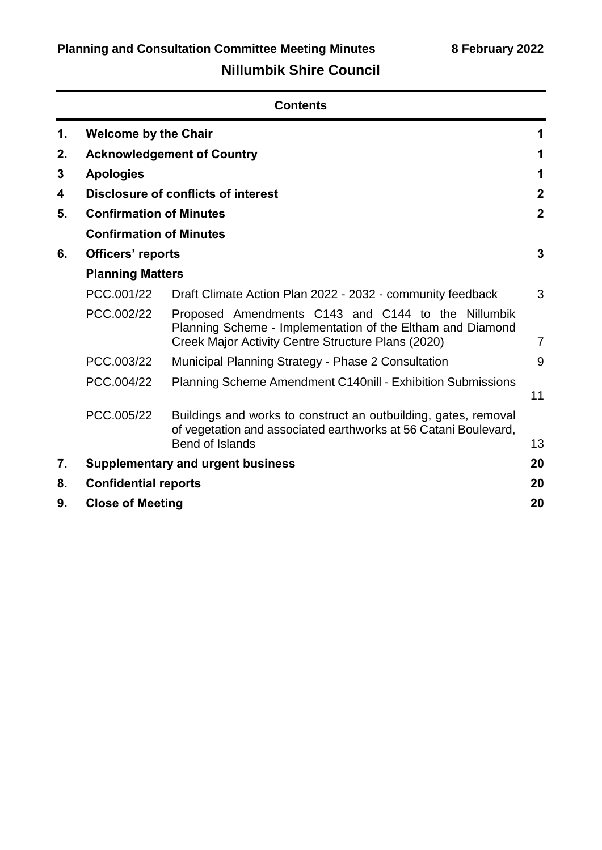### **Nillumbik Shire Council**

|                                      | <b>Contents</b>                     |                                                                                                                                                                        |                |  |
|--------------------------------------|-------------------------------------|------------------------------------------------------------------------------------------------------------------------------------------------------------------------|----------------|--|
| 1.                                   | <b>Welcome by the Chair</b>         |                                                                                                                                                                        | 1              |  |
| 2.                                   |                                     | <b>Acknowledgement of Country</b>                                                                                                                                      | 1              |  |
| 3                                    | <b>Apologies</b>                    |                                                                                                                                                                        | 1              |  |
| 4                                    | Disclosure of conflicts of interest |                                                                                                                                                                        | $\mathbf{2}$   |  |
| <b>Confirmation of Minutes</b><br>5. |                                     |                                                                                                                                                                        | $\overline{2}$ |  |
|                                      | <b>Confirmation of Minutes</b>      |                                                                                                                                                                        |                |  |
| 6.                                   | Officers' reports                   |                                                                                                                                                                        | 3              |  |
|                                      | <b>Planning Matters</b>             |                                                                                                                                                                        |                |  |
|                                      | PCC.001/22                          | Draft Climate Action Plan 2022 - 2032 - community feedback                                                                                                             | 3              |  |
|                                      | PCC.002/22                          | Proposed Amendments C143 and C144 to the Nillumbik<br>Planning Scheme - Implementation of the Eltham and Diamond<br>Creek Major Activity Centre Structure Plans (2020) | $\overline{7}$ |  |
|                                      | PCC.003/22                          | Municipal Planning Strategy - Phase 2 Consultation                                                                                                                     | 9              |  |
|                                      | PCC.004/22                          | <b>Planning Scheme Amendment C140nill - Exhibition Submissions</b>                                                                                                     | 11             |  |
|                                      | PCC.005/22                          | Buildings and works to construct an outbuilding, gates, removal<br>of vegetation and associated earthworks at 56 Catani Boulevard,<br>Bend of Islands                  | 13             |  |
| 7.                                   |                                     | <b>Supplementary and urgent business</b>                                                                                                                               | 20             |  |
| 8.                                   |                                     |                                                                                                                                                                        | 20             |  |
| 9.                                   | <b>Confidential reports</b>         |                                                                                                                                                                        |                |  |
|                                      |                                     | <b>Close of Meeting</b><br>20                                                                                                                                          |                |  |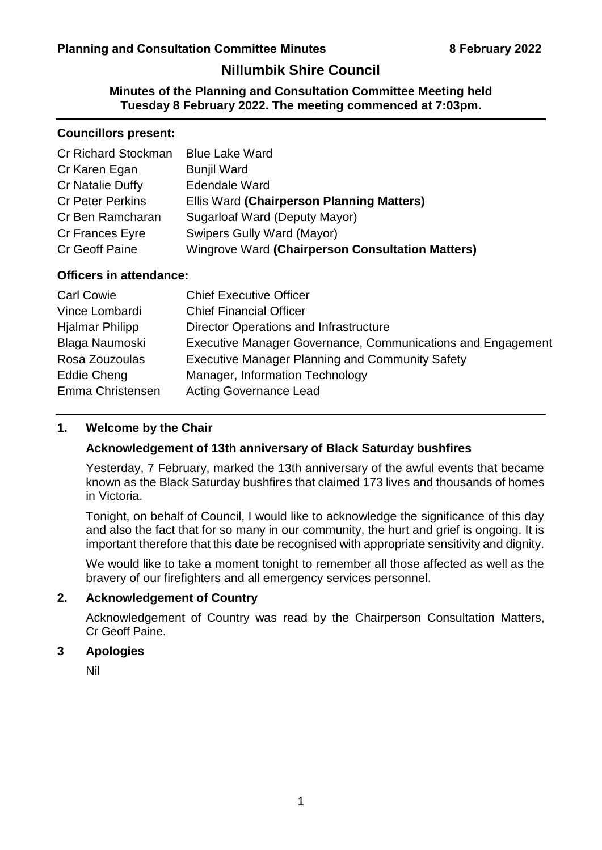### **Nillumbik Shire Council**

**Minutes of the Planning and Consultation Committee Meeting held Tuesday 8 February 2022. The meeting commenced at 7:03pm.**

#### **Councillors present:**

| Cr Richard Stockman     | <b>Blue Lake Ward</b>                            |
|-------------------------|--------------------------------------------------|
| Cr Karen Egan           | <b>Bunjil Ward</b>                               |
| Cr Natalie Duffy        | <b>Edendale Ward</b>                             |
| <b>Cr Peter Perkins</b> | Ellis Ward (Chairperson Planning Matters)        |
| Cr Ben Ramcharan        | <b>Sugarloaf Ward (Deputy Mayor)</b>             |
| Cr Frances Eyre         | <b>Swipers Gully Ward (Mayor)</b>                |
| <b>Cr Geoff Paine</b>   | Wingrove Ward (Chairperson Consultation Matters) |

#### **Officers in attendance:**

| <b>Carl Cowie</b>      | <b>Chief Executive Officer</b>                              |
|------------------------|-------------------------------------------------------------|
| Vince Lombardi         | <b>Chief Financial Officer</b>                              |
| <b>Hjalmar Philipp</b> | Director Operations and Infrastructure                      |
| Blaga Naumoski         | Executive Manager Governance, Communications and Engagement |
| Rosa Zouzoulas         | <b>Executive Manager Planning and Community Safety</b>      |
| <b>Eddie Cheng</b>     | Manager, Information Technology                             |
| Emma Christensen       | <b>Acting Governance Lead</b>                               |

#### <span id="page-2-0"></span>**1. Welcome by the Chair**

#### **Acknowledgement of 13th anniversary of Black Saturday bushfires**

Yesterday, 7 February, marked the 13th anniversary of the awful events that became known as the Black Saturday bushfires that claimed 173 lives and thousands of homes in Victoria.

Tonight, on behalf of Council, I would like to acknowledge the significance of this day and also the fact that for so many in our community, the hurt and grief is ongoing. It is important therefore that this date be recognised with appropriate sensitivity and dignity.

We would like to take a moment tonight to remember all those affected as well as the bravery of our firefighters and all emergency services personnel.

#### <span id="page-2-1"></span>**2. Acknowledgement of Country**

Acknowledgement of Country was read by the Chairperson Consultation Matters, Cr Geoff Paine.

#### <span id="page-2-2"></span>**3 Apologies**

Nil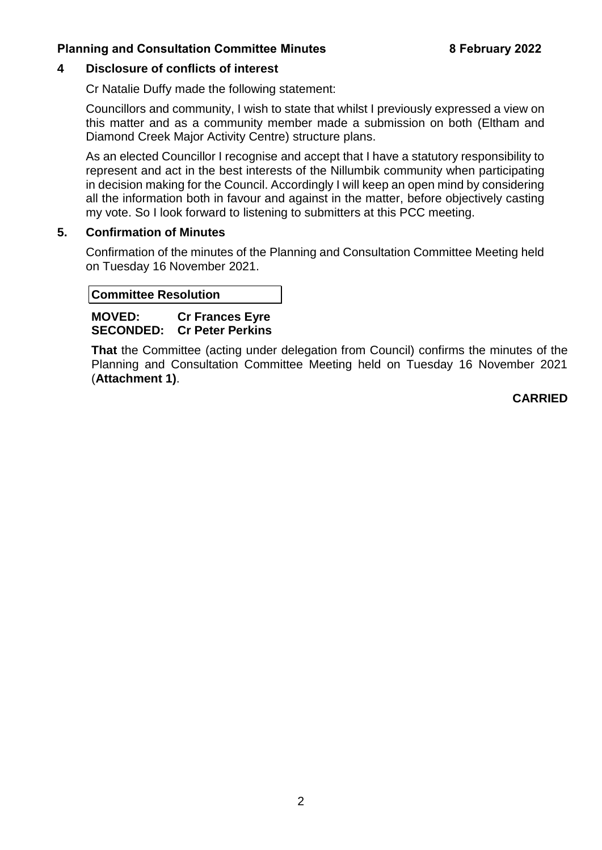#### <span id="page-3-2"></span><span id="page-3-0"></span>**4 Disclosure of conflicts of interest**

Cr Natalie Duffy made the following statement:

Councillors and community, I wish to state that whilst I previously expressed a view on this matter and as a community member made a submission on both (Eltham and Diamond Creek Major Activity Centre) structure plans.

As an elected Councillor I recognise and accept that I have a statutory responsibility to represent and act in the best interests of the Nillumbik community when participating in decision making for the Council. Accordingly I will keep an open mind by considering all the information both in favour and against in the matter, before objectively casting my vote. So I look forward to listening to submitters at this PCC meeting.

#### <span id="page-3-1"></span>**5. Confirmation of Minutes**

Confirmation of the minutes of the Planning and Consultation Committee Meeting held on Tuesday 16 November 2021.

#### **Committee Resolution**

**MOVED: Cr Frances Eyre SECONDED: Cr Peter Perkins** 

**That** the Committee (acting under delegation from Council) confirms the minutes of the Planning and Consultation Committee Meeting held on Tuesday 16 November 2021 (**Attachment 1)**.

**CARRIED**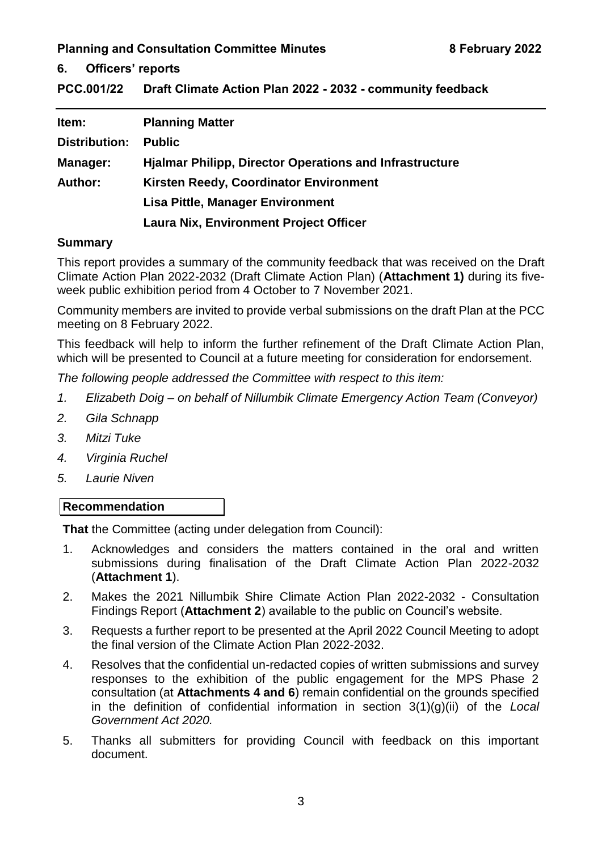#### <span id="page-4-1"></span><span id="page-4-0"></span>**6. Officers' reports**

<span id="page-4-2"></span>**PCC.001/22 Draft Climate Action Plan 2022 - 2032 - community feedback**

| Item:           | <b>Planning Matter</b>                                         |
|-----------------|----------------------------------------------------------------|
| Distribution:   | <b>Public</b>                                                  |
| <b>Manager:</b> | <b>Hjalmar Philipp, Director Operations and Infrastructure</b> |
| <b>Author:</b>  | Kirsten Reedy, Coordinator Environment                         |
|                 | Lisa Pittle, Manager Environment                               |
|                 | <b>Laura Nix, Environment Project Officer</b>                  |

#### **Summary**

This report provides a summary of the community feedback that was received on the Draft Climate Action Plan 2022-2032 (Draft Climate Action Plan) (**Attachment 1)** during its fiveweek public exhibition period from 4 October to 7 November 2021.

Community members are invited to provide verbal submissions on the draft Plan at the PCC meeting on 8 February 2022.

This feedback will help to inform the further refinement of the Draft Climate Action Plan, which will be presented to Council at a future meeting for consideration for endorsement.

*The following people addressed the Committee with respect to this item:*

- *1. Elizabeth Doig – on behalf of Nillumbik Climate Emergency Action Team (Conveyor)*
- *2. Gila Schnapp*
- *3. Mitzi Tuke*
- *4. Virginia Ruchel*
- *5. Laurie Niven*

#### **Recommendation**

**That** the Committee (acting under delegation from Council):

- 1. Acknowledges and considers the matters contained in the oral and written submissions during finalisation of the Draft Climate Action Plan 2022-2032 (**Attachment 1**).
- 2. Makes the 2021 Nillumbik Shire Climate Action Plan 2022-2032 Consultation Findings Report (**Attachment 2**) available to the public on Council's website.
- 3. Requests a further report to be presented at the April 2022 Council Meeting to adopt the final version of the Climate Action Plan 2022-2032.
- 4. Resolves that the confidential un-redacted copies of written submissions and survey responses to the exhibition of the public engagement for the MPS Phase 2 consultation (at **Attachments 4 and 6**) remain confidential on the grounds specified in the definition of confidential information in section 3(1)(g)(ii) of the *Local Government Act 2020.*
- 5. Thanks all submitters for providing Council with feedback on this important document.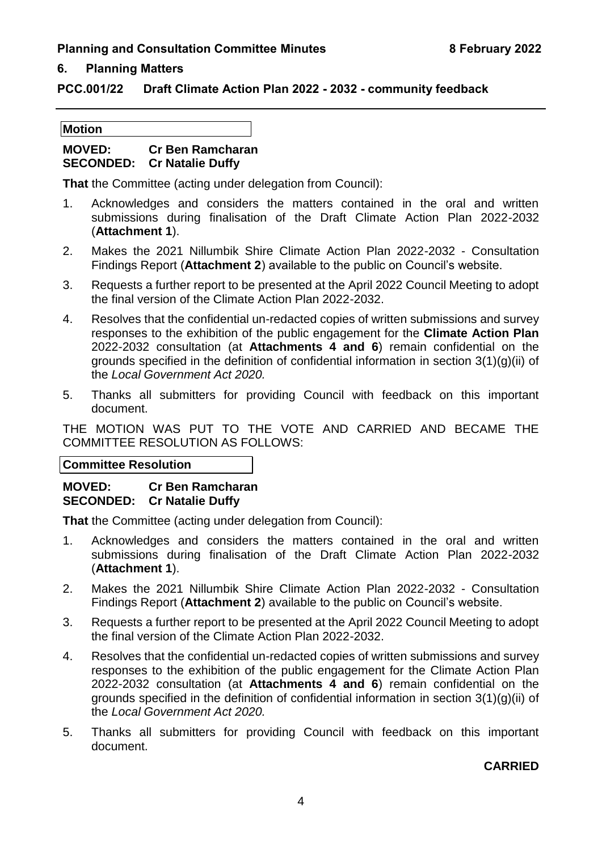#### **6. Planning Matters**

#### **PCC.001/22 Draft Climate Action Plan 2022 - 2032 - community feedback**

#### **Motion**

#### **MOVED: Cr Ben Ramcharan SECONDED: Cr Natalie Duffy**

**That** the Committee (acting under delegation from Council):

- 1. Acknowledges and considers the matters contained in the oral and written submissions during finalisation of the Draft Climate Action Plan 2022-2032 (**Attachment 1**).
- 2. Makes the 2021 Nillumbik Shire Climate Action Plan 2022-2032 Consultation Findings Report (**Attachment 2**) available to the public on Council's website.
- 3. Requests a further report to be presented at the April 2022 Council Meeting to adopt the final version of the Climate Action Plan 2022-2032.
- 4. Resolves that the confidential un-redacted copies of written submissions and survey responses to the exhibition of the public engagement for the **Climate Action Plan** 2022-2032 consultation (at **Attachments 4 and 6**) remain confidential on the grounds specified in the definition of confidential information in section 3(1)(g)(ii) of the *Local Government Act 2020.*
- 5. Thanks all submitters for providing Council with feedback on this important document.

THE MOTION WAS PUT TO THE VOTE AND CARRIED AND BECAME THE COMMITTEE RESOLUTION AS FOLLOWS:

**Committee Resolution**

#### **MOVED: Cr Ben Ramcharan SECONDED: Cr Natalie Duffy**

**That** the Committee (acting under delegation from Council):

- 1. Acknowledges and considers the matters contained in the oral and written submissions during finalisation of the Draft Climate Action Plan 2022-2032 (**Attachment 1**).
- 2. Makes the 2021 Nillumbik Shire Climate Action Plan 2022-2032 Consultation Findings Report (**Attachment 2**) available to the public on Council's website.
- 3. Requests a further report to be presented at the April 2022 Council Meeting to adopt the final version of the Climate Action Plan 2022-2032.
- 4. Resolves that the confidential un-redacted copies of written submissions and survey responses to the exhibition of the public engagement for the Climate Action Plan 2022-2032 consultation (at **Attachments 4 and 6**) remain confidential on the grounds specified in the definition of confidential information in section 3(1)(g)(ii) of the *Local Government Act 2020.*
- 5. Thanks all submitters for providing Council with feedback on this important document.

#### **CARRIED**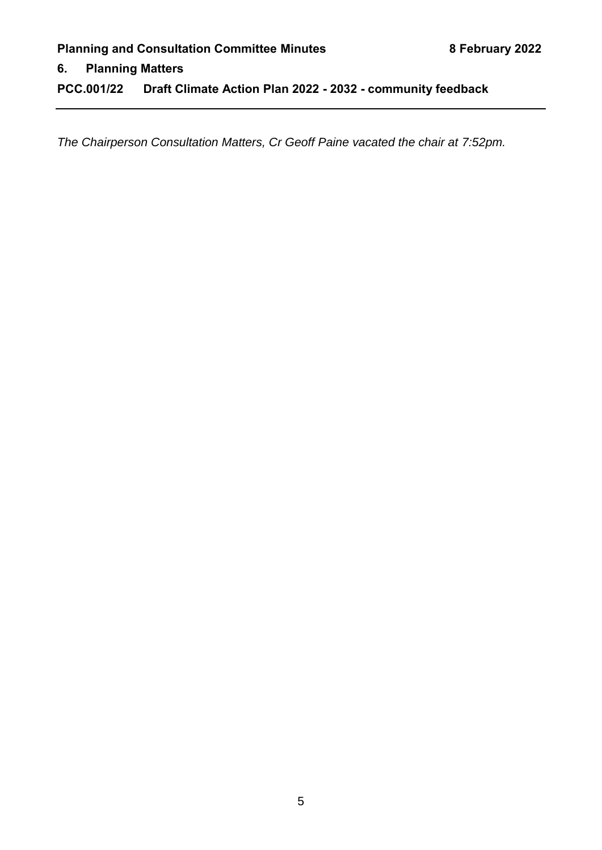#### **6. Planning Matters**

**PCC.001/22 Draft Climate Action Plan 2022 - 2032 - community feedback**

*The Chairperson Consultation Matters, Cr Geoff Paine vacated the chair at 7:52pm.*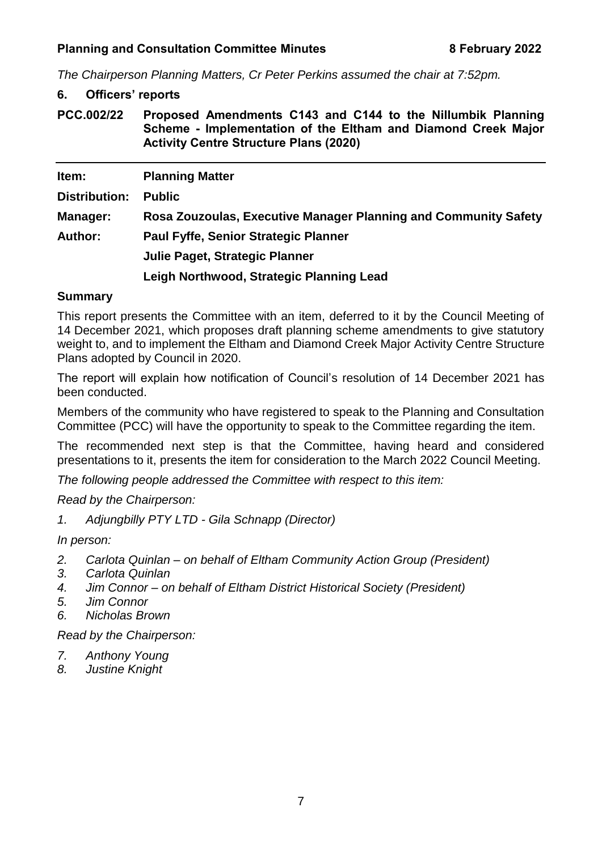*The Chairperson Planning Matters, Cr Peter Perkins assumed the chair at 7:52pm.*

#### **6. Officers' reports**

<span id="page-8-0"></span>**PCC.002/22 Proposed Amendments C143 and C144 to the Nillumbik Planning Scheme - Implementation of the Eltham and Diamond Creek Major Activity Centre Structure Plans (2020)**

| Item:          | <b>Planning Matter</b>                                          |
|----------------|-----------------------------------------------------------------|
| Distribution:  | <b>Public</b>                                                   |
| Manager:       | Rosa Zouzoulas, Executive Manager Planning and Community Safety |
| <b>Author:</b> | <b>Paul Fyffe, Senior Strategic Planner</b>                     |
|                | Julie Paget, Strategic Planner                                  |
|                | Leigh Northwood, Strategic Planning Lead                        |

#### **Summary**

This report presents the Committee with an item, deferred to it by the Council Meeting of 14 December 2021, which proposes draft planning scheme amendments to give statutory weight to, and to implement the Eltham and Diamond Creek Major Activity Centre Structure Plans adopted by Council in 2020.

The report will explain how notification of Council's resolution of 14 December 2021 has been conducted.

Members of the community who have registered to speak to the Planning and Consultation Committee (PCC) will have the opportunity to speak to the Committee regarding the item.

The recommended next step is that the Committee, having heard and considered presentations to it, presents the item for consideration to the March 2022 Council Meeting.

*The following people addressed the Committee with respect to this item:*

*Read by the Chairperson:*

*1. Adjungbilly PTY LTD - Gila Schnapp (Director)*

*In person:*

- *2. Carlota Quinlan – on behalf of Eltham Community Action Group (President)*
- *3. Carlota Quinlan*
- *4. Jim Connor – on behalf of Eltham District Historical Society (President)*
- *5. Jim Connor*
- *6. Nicholas Brown*

*Read by the Chairperson:*

- *7. Anthony Young*
- *8. Justine Knight*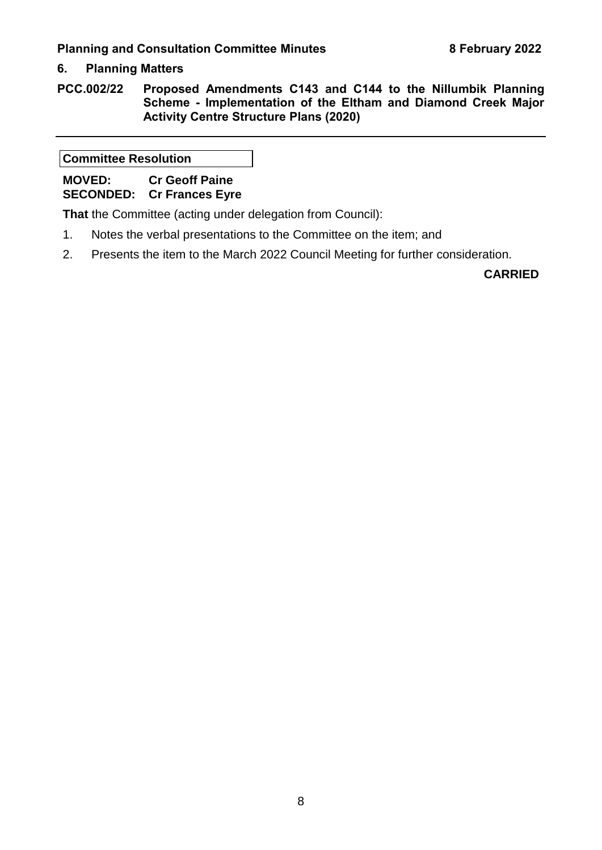#### **6. Planning Matters**

**PCC.002/22 Proposed Amendments C143 and C144 to the Nillumbik Planning Scheme - Implementation of the Eltham and Diamond Creek Major Activity Centre Structure Plans (2020)**

**Committee Resolution**

**MOVED: Cr Geoff Paine SECONDED: Cr Frances Eyre** 

**That** the Committee (acting under delegation from Council):

- 1. Notes the verbal presentations to the Committee on the item; and
- 2. Presents the item to the March 2022 Council Meeting for further consideration.

**CARRIED**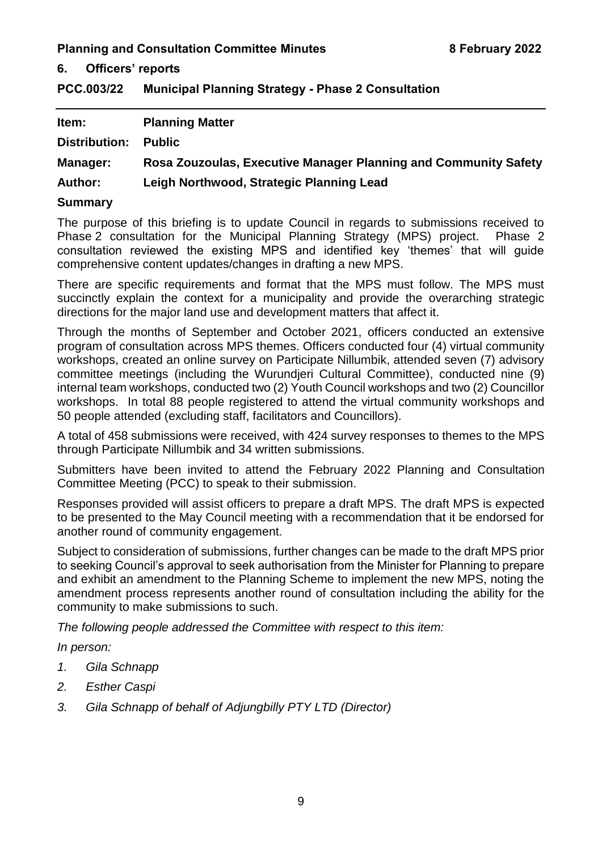**6. Officers' reports**

<span id="page-10-0"></span>**PCC.003/22 Municipal Planning Strategy - Phase 2 Consultation**

| Item:          | <b>Planning Matter</b>                                          |
|----------------|-----------------------------------------------------------------|
| Distribution:  | <b>Public</b>                                                   |
| Manager:       | Rosa Zouzoulas, Executive Manager Planning and Community Safety |
| <b>Author:</b> | Leigh Northwood, Strategic Planning Lead                        |
| <b>Summary</b> |                                                                 |

The purpose of this briefing is to update Council in regards to submissions received to Phase 2 consultation for the Municipal Planning Strategy (MPS) project. Phase 2 consultation reviewed the existing MPS and identified key 'themes' that will guide comprehensive content updates/changes in drafting a new MPS.

There are specific requirements and format that the MPS must follow. The MPS must succinctly explain the context for a municipality and provide the overarching strategic directions for the major land use and development matters that affect it.

Through the months of September and October 2021, officers conducted an extensive program of consultation across MPS themes. Officers conducted four (4) virtual community workshops, created an online survey on Participate Nillumbik, attended seven (7) advisory committee meetings (including the Wurundjeri Cultural Committee), conducted nine (9) internal team workshops, conducted two (2) Youth Council workshops and two (2) Councillor workshops. In total 88 people registered to attend the virtual community workshops and 50 people attended (excluding staff, facilitators and Councillors).

A total of 458 submissions were received, with 424 survey responses to themes to the MPS through Participate Nillumbik and 34 written submissions.

Submitters have been invited to attend the February 2022 Planning and Consultation Committee Meeting (PCC) to speak to their submission.

Responses provided will assist officers to prepare a draft MPS. The draft MPS is expected to be presented to the May Council meeting with a recommendation that it be endorsed for another round of community engagement.

Subject to consideration of submissions, further changes can be made to the draft MPS prior to seeking Council's approval to seek authorisation from the Minister for Planning to prepare and exhibit an amendment to the Planning Scheme to implement the new MPS, noting the amendment process represents another round of consultation including the ability for the community to make submissions to such.

*The following people addressed the Committee with respect to this item:*

*In person:*

- *1. Gila Schnapp*
- *2. Esther Caspi*
- *3. Gila Schnapp of behalf of Adjungbilly PTY LTD (Director)*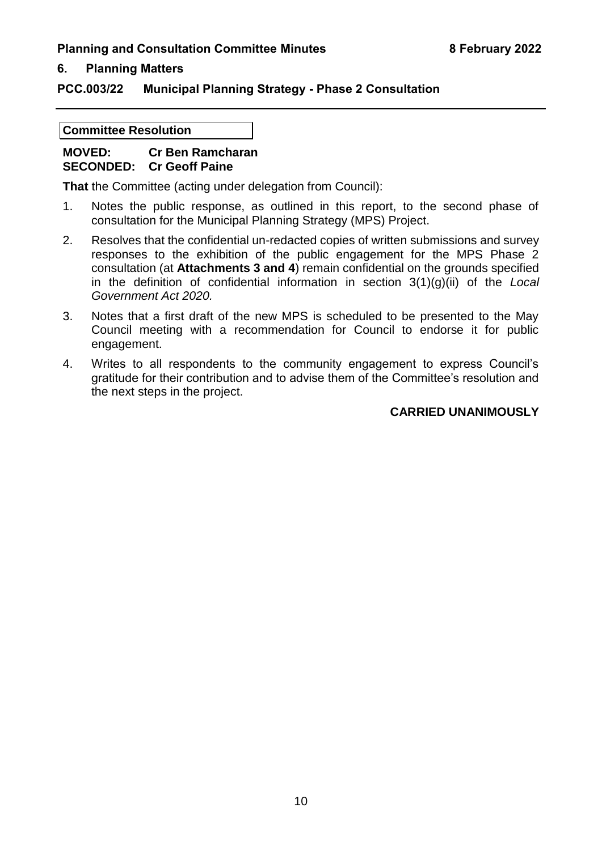#### **6. Planning Matters**

#### **PCC.003/22 Municipal Planning Strategy - Phase 2 Consultation**

#### **Committee Resolution**

#### **MOVED: Cr Ben Ramcharan SECONDED: Cr Geoff Paine**

**That** the Committee (acting under delegation from Council):

- 1. Notes the public response, as outlined in this report, to the second phase of consultation for the Municipal Planning Strategy (MPS) Project.
- 2. Resolves that the confidential un-redacted copies of written submissions and survey responses to the exhibition of the public engagement for the MPS Phase 2 consultation (at **Attachments 3 and 4**) remain confidential on the grounds specified in the definition of confidential information in section 3(1)(g)(ii) of the *Local Government Act 2020.*
- 3. Notes that a first draft of the new MPS is scheduled to be presented to the May Council meeting with a recommendation for Council to endorse it for public engagement.
- 4. Writes to all respondents to the community engagement to express Council's gratitude for their contribution and to advise them of the Committee's resolution and the next steps in the project.

#### **CARRIED UNANIMOUSLY**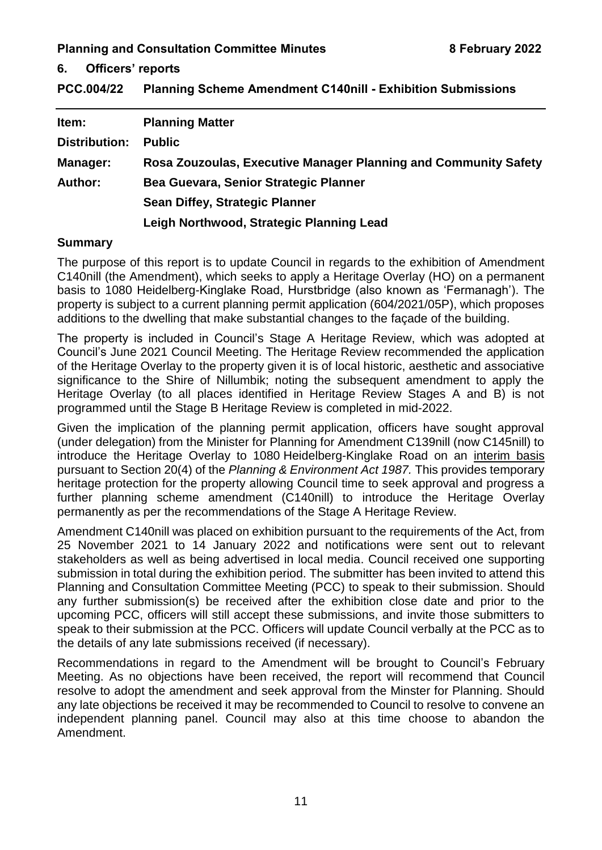**6. Officers' reports**

<span id="page-12-0"></span>

| <b>PCC.004/22</b> |  |  | <b>Planning Scheme Amendment C140nill - Exhibition Submissions</b> |
|-------------------|--|--|--------------------------------------------------------------------|
|-------------------|--|--|--------------------------------------------------------------------|

| Item:                | <b>Planning Matter</b>                                          |
|----------------------|-----------------------------------------------------------------|
| <b>Distribution:</b> | <b>Public</b>                                                   |
| <b>Manager:</b>      | Rosa Zouzoulas, Executive Manager Planning and Community Safety |
| <b>Author:</b>       | Bea Guevara, Senior Strategic Planner                           |
|                      | <b>Sean Diffey, Strategic Planner</b>                           |
|                      | Leigh Northwood, Strategic Planning Lead                        |

#### **Summary**

The purpose of this report is to update Council in regards to the exhibition of Amendment C140nill (the Amendment), which seeks to apply a Heritage Overlay (HO) on a permanent basis to 1080 Heidelberg-Kinglake Road, Hurstbridge (also known as 'Fermanagh'). The property is subject to a current planning permit application (604/2021/05P), which proposes additions to the dwelling that make substantial changes to the façade of the building.

The property is included in Council's Stage A Heritage Review, which was adopted at Council's June 2021 Council Meeting. The Heritage Review recommended the application of the Heritage Overlay to the property given it is of local historic, aesthetic and associative significance to the Shire of Nillumbik; noting the subsequent amendment to apply the Heritage Overlay (to all places identified in Heritage Review Stages A and B) is not programmed until the Stage B Heritage Review is completed in mid-2022.

Given the implication of the planning permit application, officers have sought approval (under delegation) from the Minister for Planning for Amendment C139nill (now C145nill) to introduce the Heritage Overlay to 1080 Heidelberg-Kinglake Road on an interim basis pursuant to Section 20(4) of the *Planning & Environment Act 1987.* This provides temporary heritage protection for the property allowing Council time to seek approval and progress a further planning scheme amendment (C140nill) to introduce the Heritage Overlay permanently as per the recommendations of the Stage A Heritage Review.

Amendment C140nill was placed on exhibition pursuant to the requirements of the Act, from 25 November 2021 to 14 January 2022 and notifications were sent out to relevant stakeholders as well as being advertised in local media. Council received one supporting submission in total during the exhibition period. The submitter has been invited to attend this Planning and Consultation Committee Meeting (PCC) to speak to their submission. Should any further submission(s) be received after the exhibition close date and prior to the upcoming PCC, officers will still accept these submissions, and invite those submitters to speak to their submission at the PCC. Officers will update Council verbally at the PCC as to the details of any late submissions received (if necessary).

Recommendations in regard to the Amendment will be brought to Council's February Meeting. As no objections have been received, the report will recommend that Council resolve to adopt the amendment and seek approval from the Minster for Planning. Should any late objections be received it may be recommended to Council to resolve to convene an independent planning panel. Council may also at this time choose to abandon the Amendment.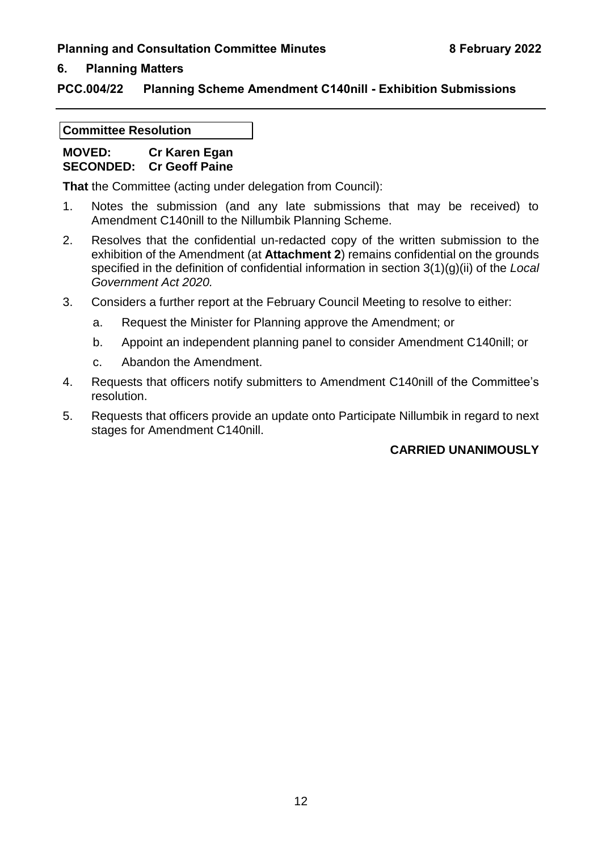#### **6. Planning Matters**

#### **PCC.004/22 Planning Scheme Amendment C140nill - Exhibition Submissions**

#### **Committee Resolution**

#### **MOVED: Cr Karen Egan SECONDED: Cr Geoff Paine**

**That** the Committee (acting under delegation from Council):

- 1. Notes the submission (and any late submissions that may be received) to Amendment C140nill to the Nillumbik Planning Scheme.
- 2. Resolves that the confidential un-redacted copy of the written submission to the exhibition of the Amendment (at **Attachment 2**) remains confidential on the grounds specified in the definition of confidential information in section 3(1)(g)(ii) of the *Local Government Act 2020.*
- 3. Considers a further report at the February Council Meeting to resolve to either:
	- a. Request the Minister for Planning approve the Amendment; or
	- b. Appoint an independent planning panel to consider Amendment C140nill; or
	- c. Abandon the Amendment.
- 4. Requests that officers notify submitters to Amendment C140nill of the Committee's resolution.
- 5. Requests that officers provide an update onto Participate Nillumbik in regard to next stages for Amendment C140nill.

#### **CARRIED UNANIMOUSLY**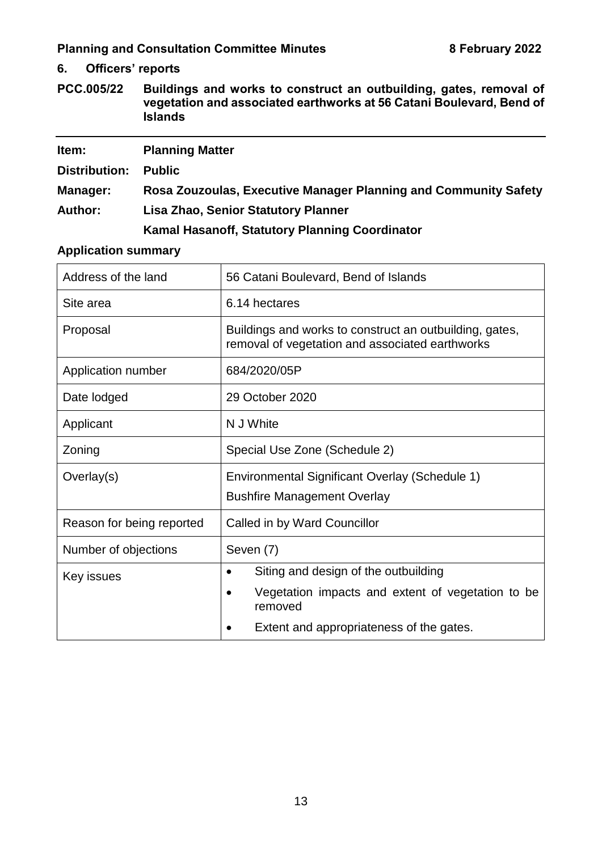**6. Officers' reports**

<span id="page-14-0"></span>**PCC.005/22 Buildings and works to construct an outbuilding, gates, removal of vegetation and associated earthworks at 56 Catani Boulevard, Bend of Islands**

| Item:           | <b>Planning Matter</b>                                          |
|-----------------|-----------------------------------------------------------------|
| Distribution:   | <b>Public</b>                                                   |
| <b>Manager:</b> | Rosa Zouzoulas, Executive Manager Planning and Community Safety |
| <b>Author:</b>  | <b>Lisa Zhao, Senior Statutory Planner</b>                      |
|                 | Kamal Hasanoff, Statutory Planning Coordinator                  |

#### **Application summary**

| Address of the land       | 56 Catani Boulevard, Bend of Islands                                                                       |
|---------------------------|------------------------------------------------------------------------------------------------------------|
| Site area                 | 6.14 hectares                                                                                              |
| Proposal                  | Buildings and works to construct an outbuilding, gates,<br>removal of vegetation and associated earthworks |
| Application number        | 684/2020/05P                                                                                               |
| Date lodged               | 29 October 2020                                                                                            |
| Applicant                 | N J White                                                                                                  |
| Zoning                    | Special Use Zone (Schedule 2)                                                                              |
| Overlay(s)                | Environmental Significant Overlay (Schedule 1)<br><b>Bushfire Management Overlay</b>                       |
| Reason for being reported | Called in by Ward Councillor                                                                               |
| Number of objections      | Seven (7)                                                                                                  |
| Key issues                | Siting and design of the outbuilding<br>$\bullet$                                                          |
|                           | Vegetation impacts and extent of vegetation to be<br>$\bullet$<br>removed                                  |
|                           | Extent and appropriateness of the gates.                                                                   |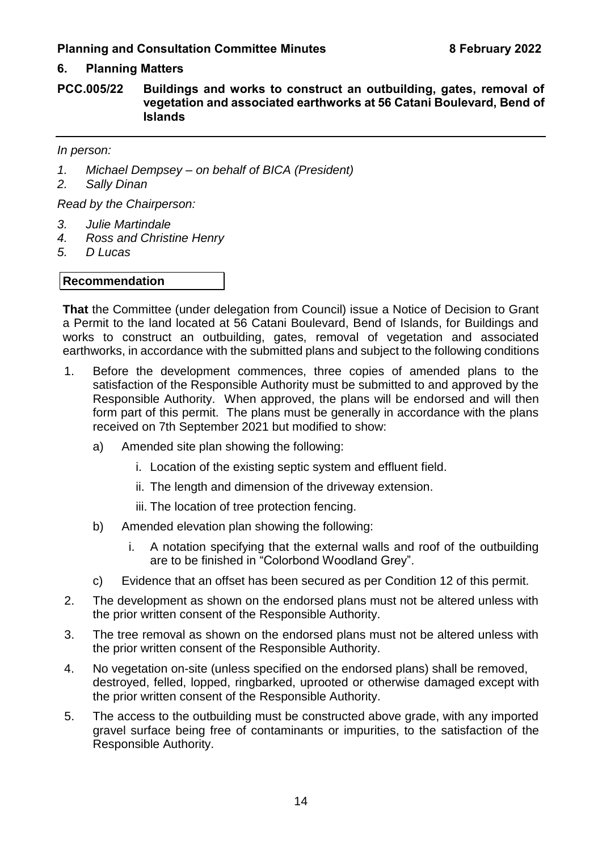#### **6. Planning Matters**

**PCC.005/22 Buildings and works to construct an outbuilding, gates, removal of vegetation and associated earthworks at 56 Catani Boulevard, Bend of Islands**

#### *In person:*

- *1. Michael Dempsey – on behalf of BICA (President)*
- *2. Sally Dinan*

*Read by the Chairperson:*

- *3. Julie Martindale*
- *4. Ross and Christine Henry*
- *5. D Lucas*

#### **Recommendation**

**That** the Committee (under delegation from Council) issue a Notice of Decision to Grant a Permit to the land located at 56 Catani Boulevard, Bend of Islands, for Buildings and works to construct an outbuilding, gates, removal of vegetation and associated earthworks, in accordance with the submitted plans and subject to the following conditions

- 1. Before the development commences, three copies of amended plans to the satisfaction of the Responsible Authority must be submitted to and approved by the Responsible Authority. When approved, the plans will be endorsed and will then form part of this permit. The plans must be generally in accordance with the plans received on 7th September 2021 but modified to show:
	- a) Amended site plan showing the following:
		- i. Location of the existing septic system and effluent field.
		- ii. The length and dimension of the driveway extension.
		- iii. The location of tree protection fencing.
	- b) Amended elevation plan showing the following:
		- i. A notation specifying that the external walls and roof of the outbuilding are to be finished in "Colorbond Woodland Grey".
	- c) Evidence that an offset has been secured as per Condition 12 of this permit.
- 2. The development as shown on the endorsed plans must not be altered unless with the prior written consent of the Responsible Authority.
- 3. The tree removal as shown on the endorsed plans must not be altered unless with the prior written consent of the Responsible Authority.
- 4. No vegetation on-site (unless specified on the endorsed plans) shall be removed, destroyed, felled, lopped, ringbarked, uprooted or otherwise damaged except with the prior written consent of the Responsible Authority.
- 5. The access to the outbuilding must be constructed above grade, with any imported gravel surface being free of contaminants or impurities, to the satisfaction of the Responsible Authority.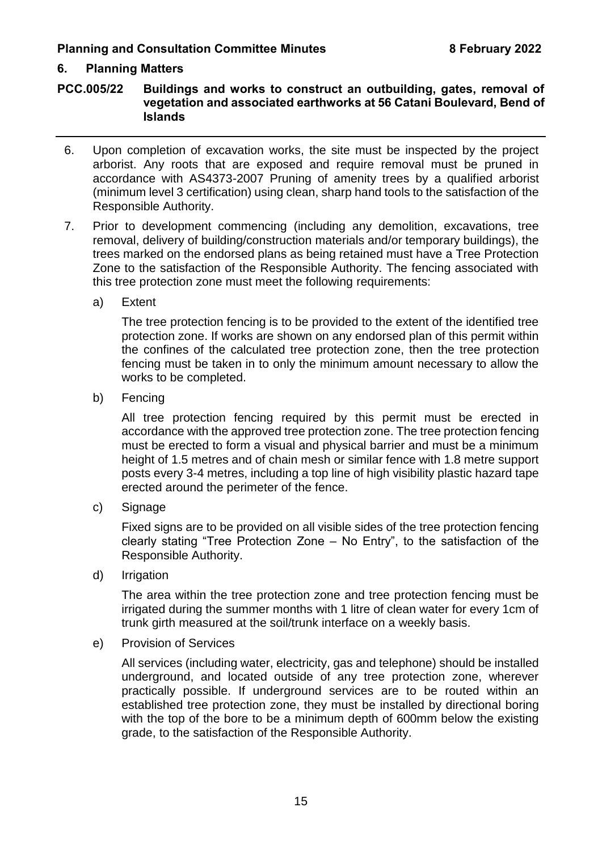#### **6. Planning Matters**

**PCC.005/22 Buildings and works to construct an outbuilding, gates, removal of vegetation and associated earthworks at 56 Catani Boulevard, Bend of Islands**

- 6. Upon completion of excavation works, the site must be inspected by the project arborist. Any roots that are exposed and require removal must be pruned in accordance with AS4373-2007 Pruning of amenity trees by a qualified arborist (minimum level 3 certification) using clean, sharp hand tools to the satisfaction of the Responsible Authority.
- 7. Prior to development commencing (including any demolition, excavations, tree removal, delivery of building/construction materials and/or temporary buildings), the trees marked on the endorsed plans as being retained must have a Tree Protection Zone to the satisfaction of the Responsible Authority. The fencing associated with this tree protection zone must meet the following requirements:
	- a) Extent

The tree protection fencing is to be provided to the extent of the identified tree protection zone. If works are shown on any endorsed plan of this permit within the confines of the calculated tree protection zone, then the tree protection fencing must be taken in to only the minimum amount necessary to allow the works to be completed.

b) Fencing

All tree protection fencing required by this permit must be erected in accordance with the approved tree protection zone. The tree protection fencing must be erected to form a visual and physical barrier and must be a minimum height of 1.5 metres and of chain mesh or similar fence with 1.8 metre support posts every 3-4 metres, including a top line of high visibility plastic hazard tape erected around the perimeter of the fence.

c) Signage

Fixed signs are to be provided on all visible sides of the tree protection fencing clearly stating "Tree Protection Zone – No Entry", to the satisfaction of the Responsible Authority.

d) Irrigation

The area within the tree protection zone and tree protection fencing must be irrigated during the summer months with 1 litre of clean water for every 1cm of trunk girth measured at the soil/trunk interface on a weekly basis.

e) Provision of Services

All services (including water, electricity, gas and telephone) should be installed underground, and located outside of any tree protection zone, wherever practically possible. If underground services are to be routed within an established tree protection zone, they must be installed by directional boring with the top of the bore to be a minimum depth of 600mm below the existing grade, to the satisfaction of the Responsible Authority.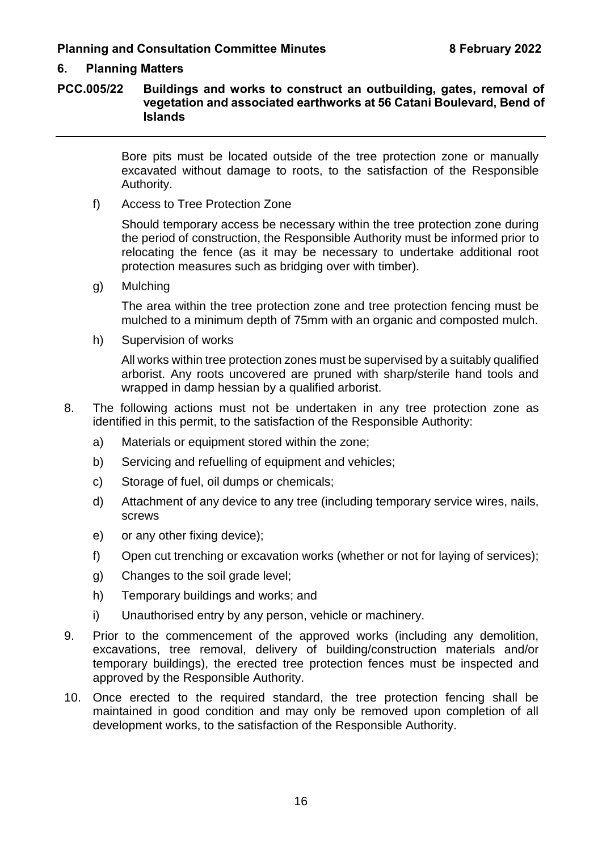#### **6. Planning Matters**

#### **PCC.005/22 Buildings and works to construct an outbuilding, gates, removal of vegetation and associated earthworks at 56 Catani Boulevard, Bend of Islands**

Bore pits must be located outside of the tree protection zone or manually excavated without damage to roots, to the satisfaction of the Responsible Authority.

f) Access to Tree Protection Zone

Should temporary access be necessary within the tree protection zone during the period of construction, the Responsible Authority must be informed prior to relocating the fence (as it may be necessary to undertake additional root protection measures such as bridging over with timber).

g) Mulching

The area within the tree protection zone and tree protection fencing must be mulched to a minimum depth of 75mm with an organic and composted mulch.

h) Supervision of works

All works within tree protection zones must be supervised by a suitably qualified arborist. Any roots uncovered are pruned with sharp/sterile hand tools and wrapped in damp hessian by a qualified arborist.

- 8. The following actions must not be undertaken in any tree protection zone as identified in this permit, to the satisfaction of the Responsible Authority:
	- a) Materials or equipment stored within the zone:
	- b) Servicing and refuelling of equipment and vehicles;
	- c) Storage of fuel, oil dumps or chemicals;
	- d) Attachment of any device to any tree (including temporary service wires, nails, screws
	- e) or any other fixing device);
	- f) Open cut trenching or excavation works (whether or not for laying of services);
	- g) Changes to the soil grade level;
	- h) Temporary buildings and works; and
	- i) Unauthorised entry by any person, vehicle or machinery.
- 9. Prior to the commencement of the approved works (including any demolition, excavations, tree removal, delivery of building/construction materials and/or temporary buildings), the erected tree protection fences must be inspected and approved by the Responsible Authority.
- 10. Once erected to the required standard, the tree protection fencing shall be maintained in good condition and may only be removed upon completion of all development works, to the satisfaction of the Responsible Authority.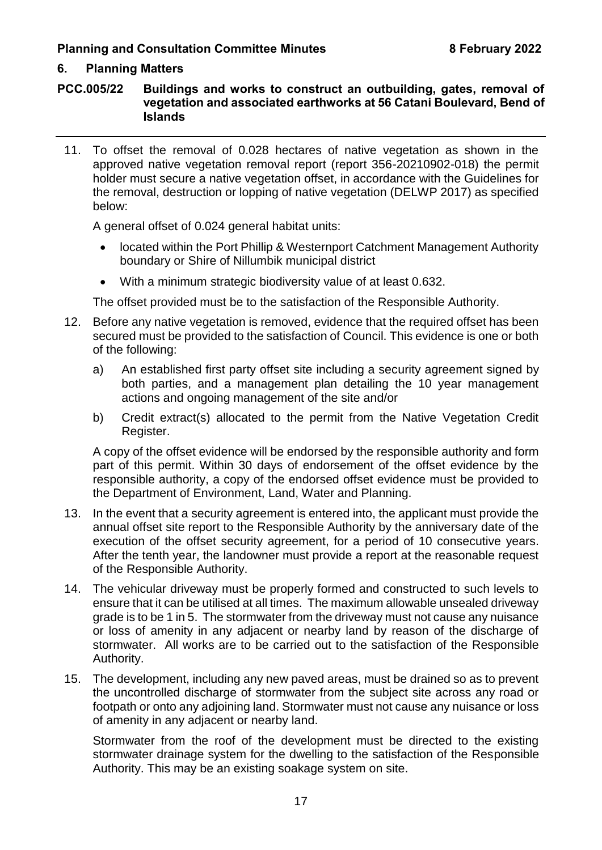#### **6. Planning Matters**

**PCC.005/22 Buildings and works to construct an outbuilding, gates, removal of vegetation and associated earthworks at 56 Catani Boulevard, Bend of Islands**

11. To offset the removal of 0.028 hectares of native vegetation as shown in the approved native vegetation removal report (report 356-20210902-018) the permit holder must secure a native vegetation offset, in accordance with the Guidelines for the removal, destruction or lopping of native vegetation (DELWP 2017) as specified below:

A general offset of 0.024 general habitat units:

- located within the Port Phillip & Westernport Catchment Management Authority boundary or Shire of Nillumbik municipal district
- With a minimum strategic biodiversity value of at least 0.632.

The offset provided must be to the satisfaction of the Responsible Authority.

- 12. Before any native vegetation is removed, evidence that the required offset has been secured must be provided to the satisfaction of Council. This evidence is one or both of the following:
	- a) An established first party offset site including a security agreement signed by both parties, and a management plan detailing the 10 year management actions and ongoing management of the site and/or
	- b) Credit extract(s) allocated to the permit from the Native Vegetation Credit Register.

A copy of the offset evidence will be endorsed by the responsible authority and form part of this permit. Within 30 days of endorsement of the offset evidence by the responsible authority, a copy of the endorsed offset evidence must be provided to the Department of Environment, Land, Water and Planning.

- 13. In the event that a security agreement is entered into, the applicant must provide the annual offset site report to the Responsible Authority by the anniversary date of the execution of the offset security agreement, for a period of 10 consecutive years. After the tenth year, the landowner must provide a report at the reasonable request of the Responsible Authority.
- 14. The vehicular driveway must be properly formed and constructed to such levels to ensure that it can be utilised at all times. The maximum allowable unsealed driveway grade is to be 1 in 5. The stormwater from the driveway must not cause any nuisance or loss of amenity in any adjacent or nearby land by reason of the discharge of stormwater. All works are to be carried out to the satisfaction of the Responsible Authority.
- 15. The development, including any new paved areas, must be drained so as to prevent the uncontrolled discharge of stormwater from the subject site across any road or footpath or onto any adjoining land. Stormwater must not cause any nuisance or loss of amenity in any adjacent or nearby land.

Stormwater from the roof of the development must be directed to the existing stormwater drainage system for the dwelling to the satisfaction of the Responsible Authority. This may be an existing soakage system on site.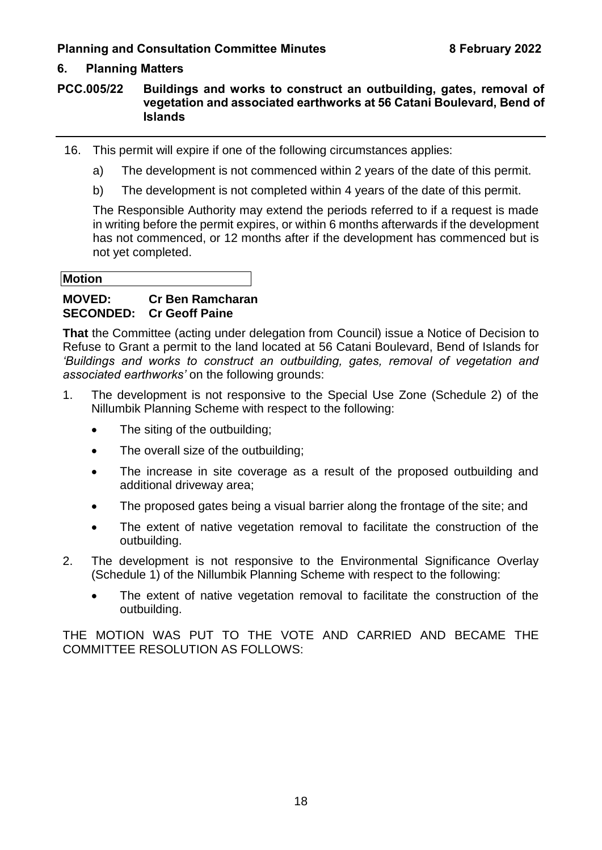#### **6. Planning Matters**

#### **PCC.005/22 Buildings and works to construct an outbuilding, gates, removal of vegetation and associated earthworks at 56 Catani Boulevard, Bend of Islands**

- 16. This permit will expire if one of the following circumstances applies:
	- a) The development is not commenced within 2 years of the date of this permit.
	- b) The development is not completed within 4 years of the date of this permit.

The Responsible Authority may extend the periods referred to if a request is made in writing before the permit expires, or within 6 months afterwards if the development has not commenced, or 12 months after if the development has commenced but is not yet completed.

#### **Motion**

#### **MOVED: Cr Ben Ramcharan SECONDED: Cr Geoff Paine**

**That** the Committee (acting under delegation from Council) issue a Notice of Decision to Refuse to Grant a permit to the land located at 56 Catani Boulevard, Bend of Islands for *'Buildings and works to construct an outbuilding, gates, removal of vegetation and associated earthworks'* on the following grounds:

- 1. The development is not responsive to the Special Use Zone (Schedule 2) of the Nillumbik Planning Scheme with respect to the following:
	- The siting of the outbuilding:
	- The overall size of the outbuilding;
	- The increase in site coverage as a result of the proposed outbuilding and additional driveway area;
	- The proposed gates being a visual barrier along the frontage of the site; and
	- The extent of native vegetation removal to facilitate the construction of the outbuilding.
- 2. The development is not responsive to the Environmental Significance Overlay (Schedule 1) of the Nillumbik Planning Scheme with respect to the following:
	- The extent of native vegetation removal to facilitate the construction of the outbuilding.

THE MOTION WAS PUT TO THE VOTE AND CARRIED AND BECAME THE COMMITTEE RESOLUTION AS FOLLOWS: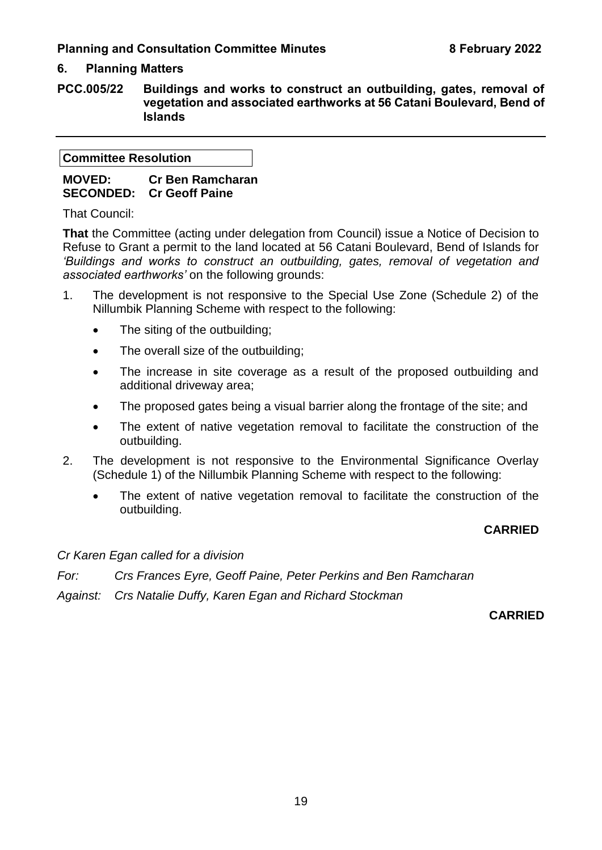#### **6. Planning Matters**

**PCC.005/22 Buildings and works to construct an outbuilding, gates, removal of vegetation and associated earthworks at 56 Catani Boulevard, Bend of Islands**

**Committee Resolution**

**MOVED: Cr Ben Ramcharan SECONDED: Cr Geoff Paine**

That Council:

**That** the Committee (acting under delegation from Council) issue a Notice of Decision to Refuse to Grant a permit to the land located at 56 Catani Boulevard, Bend of Islands for *'Buildings and works to construct an outbuilding, gates, removal of vegetation and associated earthworks'* on the following grounds:

- 1. The development is not responsive to the Special Use Zone (Schedule 2) of the Nillumbik Planning Scheme with respect to the following:
	- The siting of the outbuilding;
	- The overall size of the outbuilding;
	- The increase in site coverage as a result of the proposed outbuilding and additional driveway area;
	- The proposed gates being a visual barrier along the frontage of the site; and
	- The extent of native vegetation removal to facilitate the construction of the outbuilding.
- 2. The development is not responsive to the Environmental Significance Overlay (Schedule 1) of the Nillumbik Planning Scheme with respect to the following:
	- The extent of native vegetation removal to facilitate the construction of the outbuilding.

#### **CARRIED**

*Cr Karen Egan called for a division*

*For: Crs Frances Eyre, Geoff Paine, Peter Perkins and Ben Ramcharan*

*Against: Crs Natalie Duffy, Karen Egan and Richard Stockman*

**CARRIED**